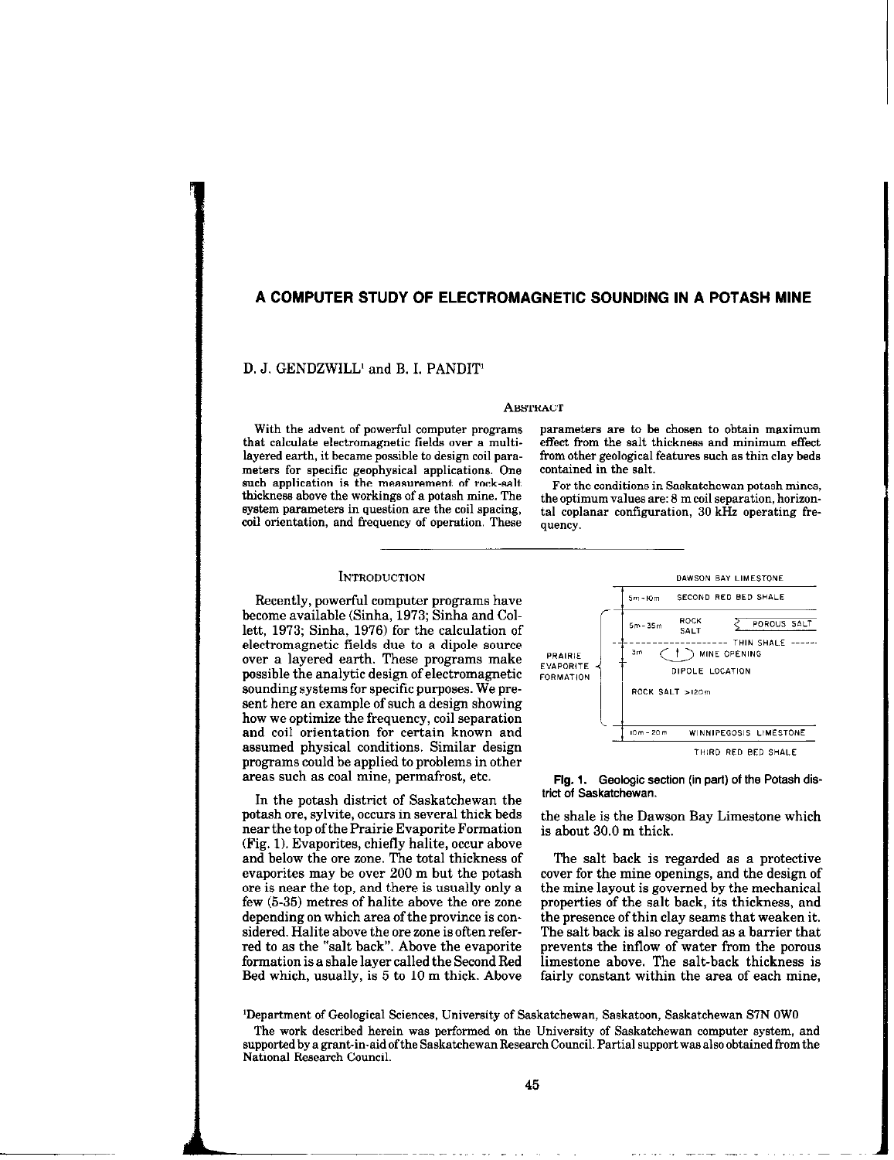# A COMPUTER STUDY OF ELECTROMAGNETIC SOUNDING IN A POTASH MINE

D. J. GENDZWILL<sup>1</sup> and B. I. PANDIT<sup>1</sup>

#### **ABSTRACT**

that calculate electromagnetic fields over a multi-<br>layered earth, it became possible to design coil parameters for specific geophysical applications. One such application is the measurement of rock-salt thickness above the workings of a potash mine. The system parameters in question are the coil spacing, coil orientation, and frequency of operation. These

With the advent of powerful computer programs parameters are to be chosen to obtain maximum<br>at calculate electromagnetic fields over a multi- effect from the salt thickness and minimum effect from other geological features such as thin clay beds contained in the salt.

For the conditions in Saskatchewan potash mines, the optimum values are: 8 m coil separation, horizontal coplanar configuration, 30 kHz operating frequency.

### **INTRODUCTION**

Recently, powerful computer programs have become available (Sinha, 1973; Sinha and Collett, 1973; Sinha, 1976) for the calculation of electromagnetic fields due to a dipole source over a layered earth. These programs make possible the analytic design of electromagnetic sounding systems for specific purposes. We present here an example of such a design showing how we optimize the frequency, coil separation and coil orientation for certain known and assumed physical conditions. Similar design programs could be applied to problems in other areas such as coal mine, permafrost, etc.

In the potash district of Saskatchewan the potash ore, sylvite, occurs in several thick beds near the top of the Prairie Evaporite Formation (Fig. 1). Evaporites, chiefly halite, occur above and below the ore zone. The total thickness of evaporites may be over 200 m but the potash ore is near the top, and there is usually only a few (5.35) metres of halite above the ore zone depending on which area of the province is considered. Halite above the ore zone is often referred to as the "salt back". Above the evaporite formation is a shale layer called the Second Bed Bed which, usually, is 5 to 10 m thick. Above



## Fig. I. Geologic section (in part) of the Potash district of Saskatchewan.

the shale is the Dawson Bay Limestone which is about 30.0 m thick.

The salt back is regarded as a protective cover for the mine openings, and the design of the mine layout is governed by the mechanical properties of the salt back, its thickness, and the presence ofthin clay seams that weaken it. The salt back is also regarded as a barrier that prevents the inflow of water from the porous limestone above. The salt-back thickness is fairly constant within the area of each mine,

'Department of Geological Sciences, University of Saskatchewan, Saskatoon, Saskatchewan S7N OWO

The work described herein was performed on the University of Saskatchewan computer system, and supported by a grant-in-aid ofthe Saskatchewan Research Council. Partial support was also obtained from the National Research Council.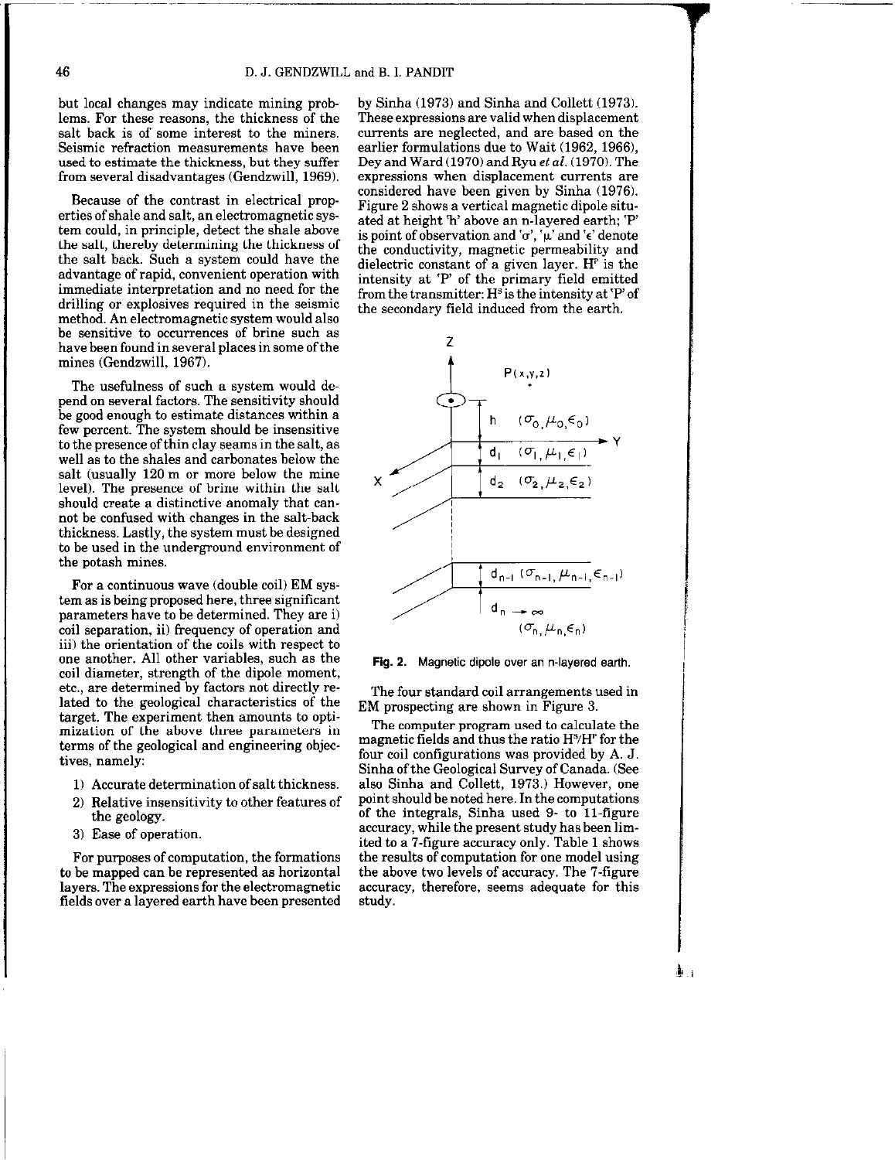but local changes may indicate mining problems. For these reasons, the thickness of the salt back is of some interest to the miners. Seismic refraction measurements have been used to estimate the thickness, but they suffer from several disadvantages (Gendzwill, 1969).

Because of the contrast in electrical properties of shale and salt, an electromagnetic system could, in principle, detect the shale above the salt, thereby determining the thickness of the salt back. Such a system could have the advantage of rapid, convenient operation with immediate interpretation and no need for the drilling or explosives required in the seismic method. An electromagnetic system would also be sensitive to occurrences of brine such as have been found in several places in some of the mines (Gendzwill, 1967).

The usefulness of such a system would depend on several factors. The sensitivity should be good enough to estimate distances within a few percent. The system should be insensitive to the presence of thin clay seams in the salt, as well as to the shales and carbonates below the salt (usually 120 m or more below the mine level). The presence of brine within the salt should create a distinctive anomaly that cannot be confused with changes in the salt-back thickness. Lastly, the system must be designed to be used in the underground environment of the potash mines.

For a continuous wave (double coil) EM system as is being proposed here, three significant parameters have to be determined. They are i) coil separation, ii) frequency of operation and iii) the orientation of the coils with respect to one another. All other variables, such as the coil diameter, strength of the dipole moment, etc., are determined by factors not directly related to the geological characteristics of the target. The experiment then amounts to optimization of the above three parameters in terms of the geological and engineering objectives, namely:

- 1) Accurate determination ofsalt thickness.
- 2) Relative insensitivity to other features of the geology.
- 3) Ease of operation.

For purposes of computation, the formations to be mapped can be represented as horizontal layers. The expressions for the electromagnetic fields over a layered earth have been presented by Sinha (1973) and Sinha and Collett (1973). These expressions are valid when displacement currents are neglected, and are based on the earlier formulations due to Wait  $(1962, 1966)$ , Dey and Ward (1970) and Ryu et al. (1970). The expressions when displacement currents are considered have been given by Sinha (1976). Figure 2 shows a vertical magnetic dipole situated at height 'h' above an n-layered earth; 'P is point of observation and 'o', ' $\mu$ ' and ' $\epsilon$ ' denote the conductivity, magnetic permeability and dielectric constant of a given layer.  $H<sup>p</sup>$  is the intensity at 'P' of the primary field emitted from the transmitter:  $H^s$  is the intensity at 'P' of the secondary field induced from the earth.





The four standard coil arrangements used in EM prospecting are shown in Figure 3.

The computer program used to calculate the magnetic fields and thus the ratio  $H<sup>s</sup>/H<sup>p</sup>$  for the four coil configurations was provided by A. J. Sinha of the Geological Survey of Canada. (See also Sinha and Collett, 1973.) However, one point should be noted here. In the computations of the integrals, Sinha used 9- to 11-figure accuracy, while the present study has been limited to a 7.figure accuracy only. Table 1 shows the results of computation for one model using the above two levels of accuracy. The 7.figure accuracy, therefore, seems adequate for this study.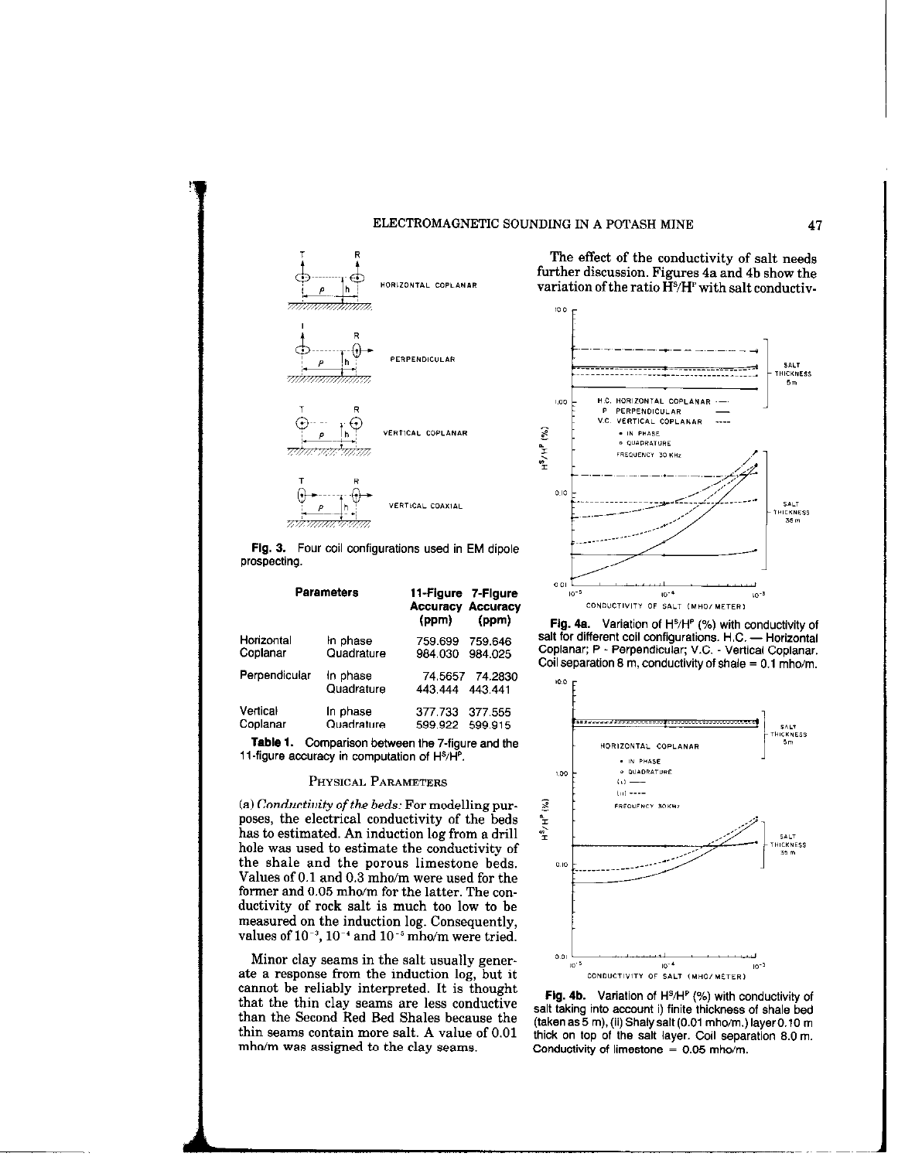



The effect of the conductivity of salt needs further discussion. Figures 4a and 4h show the  $H$ ORIZONTAL COPLANAR variation of the ratio  $\check{H}^s/H^p$  with salt conductiv-



Fig. 3. Four coil configurations used in EM dipole prospecting.

|               | <b>Parameters</b>      | 11-Figure 7-Figure<br><b>Accuracy Accuracy</b><br>(ppm) | (ppm)                      |  |
|---------------|------------------------|---------------------------------------------------------|----------------------------|--|
| Horizontal    | In phase               | 759.699                                                 | 759.646                    |  |
| Coplanar      | Quadrature             | 984.030                                                 | 984.025                    |  |
| Perpendicular | In phase<br>Quadrature | 443.444                                                 | 74.5657 74.2830<br>443.441 |  |
| Vertical      | In phase               | 377.733                                                 | 377.555                    |  |
| Coplanar      | Quadrature             | 599.922                                                 | 599.915                    |  |

Table 1. Comparison between the 7-figure and the 11-figure accuracy in computation of H<sup>s</sup>/H<sup>P</sup>.

# PHYSICAL PARAMETERS

(a) Conductiuity of the beds: For modelling purposes, the electrical conductivity of the beds has to estimated. An induction log from a drill hole was used to estimate the conductivity of the shale and the porous limestone beds. Values of 0.1 and 0.3 mho/m were used for the former and 0.05 mho/m for the latter. The conductivity of rock salt is much too low to be measured on the induction log. Consequently, values of  $10^{-3}$ ,  $10^{-4}$  and  $10^{-5}$  mho/m were tried.

Minor clay seams in the salt usually generate a response from the induction log, but it cannot be reliably interpreted. It is thought that the thin clay seams are less conductive than the Second Red Bed Shales because the thin 6eams contain more salt. A value of 0.01 mho/m was assigned to the clay seams.

Fig. 4a. Variation of  $H^s/H^p$  (%) with conductivity of salt for different coil configurations. H.C. - Horizontal Coplanar; P - Perpendicular; V.C. - Vertical Coplanar. Coil separation 8 m, conductivity of shale  $= 0.1$  mho/m.



Fig. 4b. Variation of  $H^s/H^p$  (%) with conductivity of salt taking into account i) finite thickness of shale bed (taken as  $5$  m), (ii) Shaly salt (0.01 mho/m.) layer 0.10 m thick on top of the salt layer. Coil separation 8.0 m. Conductivity of limestone  $= 0.05$  mho/m.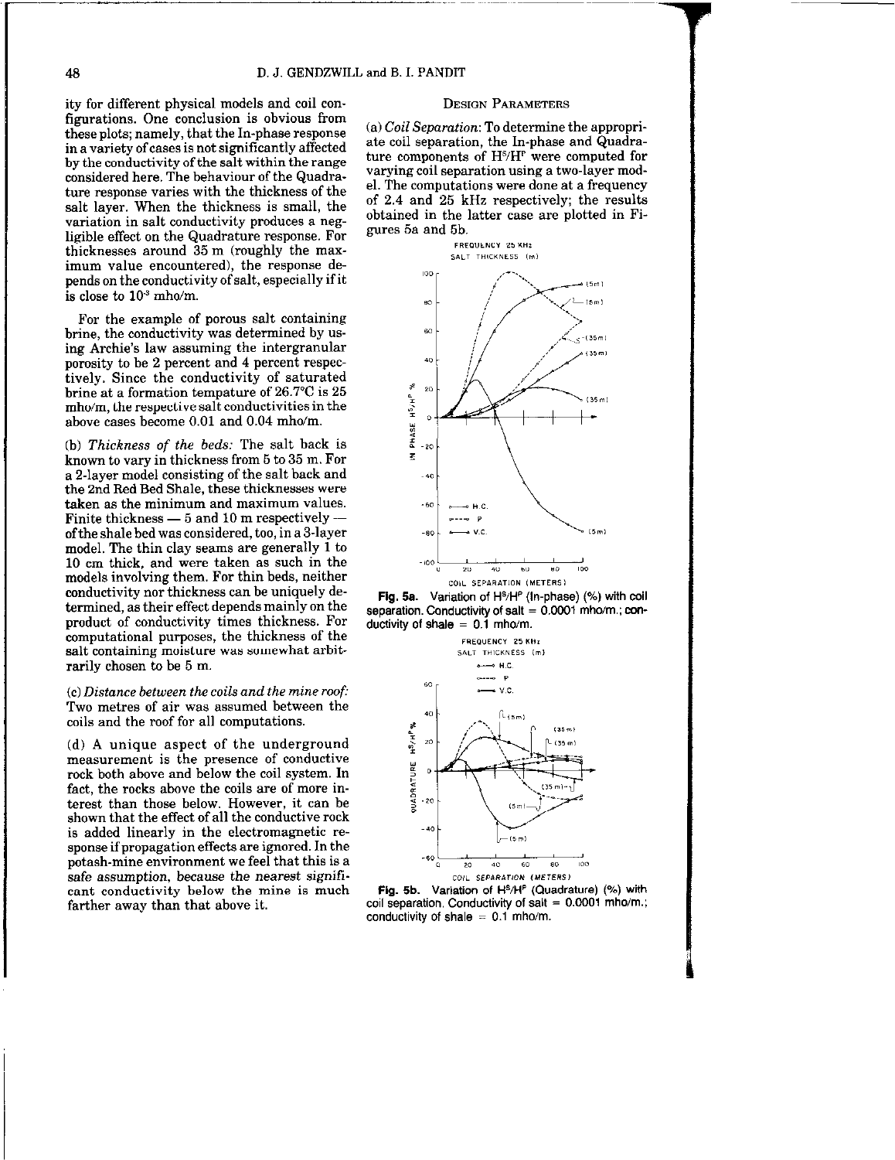ity for different physical models and coil configurations. One conclusion is obvious from these plots; namely, that the In-phase response in a variety of cases is not significantly affected by the conductivity of the salt within the range considered here. The behaviour of the Quadrature response varies with the thickness of the salt layer. When the thickness is small, the variation in salt conductivity produces a negligible effect on the Quadrature response. For thicknesses around 35 m (roughly the maximum value encountered), the response depends on the conductivity of salt, especially if it is close to  $10<sup>3</sup>$  mho/m.

For the example of porous salt containing brine, the conductivity was determined by using Archie's law assuming the intergranular porosity to be 2 percent and 4 percent respectively. Since the conductivity of saturated brine at a formation tempature of 26.7°C is 25 mho/m, the respective salt conductivities in the above cases become 0.01 and 0.04 mho/m.

(b) Thickness of the beds: The salt back is known to vary in thickness from 5 to 35 m. For a 2-layer model consisting of the salt back and the 2nd Red Bed Shale, these thicknesses were taken as the minimum and maximum values. Finite thickness  $-5$  and 10 m respectively  $$ ofthe shale bed was considered, too, in a 3.layer model. The thin clay seams are generally 1 to 10 cm thick, and were taken as such in the models involving them. For thin beds, neither conductivity nor thickness can be uniquely determined, as their effect depends mainly on the product of conductivity times thickness. For computational purposes, the thickness of the salt containing moisture was somewhat arbitrarily chosen to be 5 m.

 $(c)$  Distance between the coils and the mine roof: Two metres of air was assumed between the coils and the roof for all computations.

(d) A unique aspect of the underground measurement is the presence of conductive rock both above and below the coil system. In fact, the rocks above the coils are of more interest than those below. However, it can be shown that the effect of all the conductive rock is added linearly in the electromagnetic response if propagation effects are ignored. In the potash-mine environment we feel that this is a safe assumption, because the nearest significant conductivity below the mine is much farther away than that above it.

## DESIGN PARAMETERS

(a) Coil Separation: To determine the appropriate coil separation, the In-phase and Quadrature components of  $H<sup>s</sup>/H<sup>r</sup>$  were computed for varying coil separation using a two-layer model. The computations were done at a frequency of 2.4 and 25 kHz respectively; the results obtained in the latter case are plotted in Figures 5a and 5b.







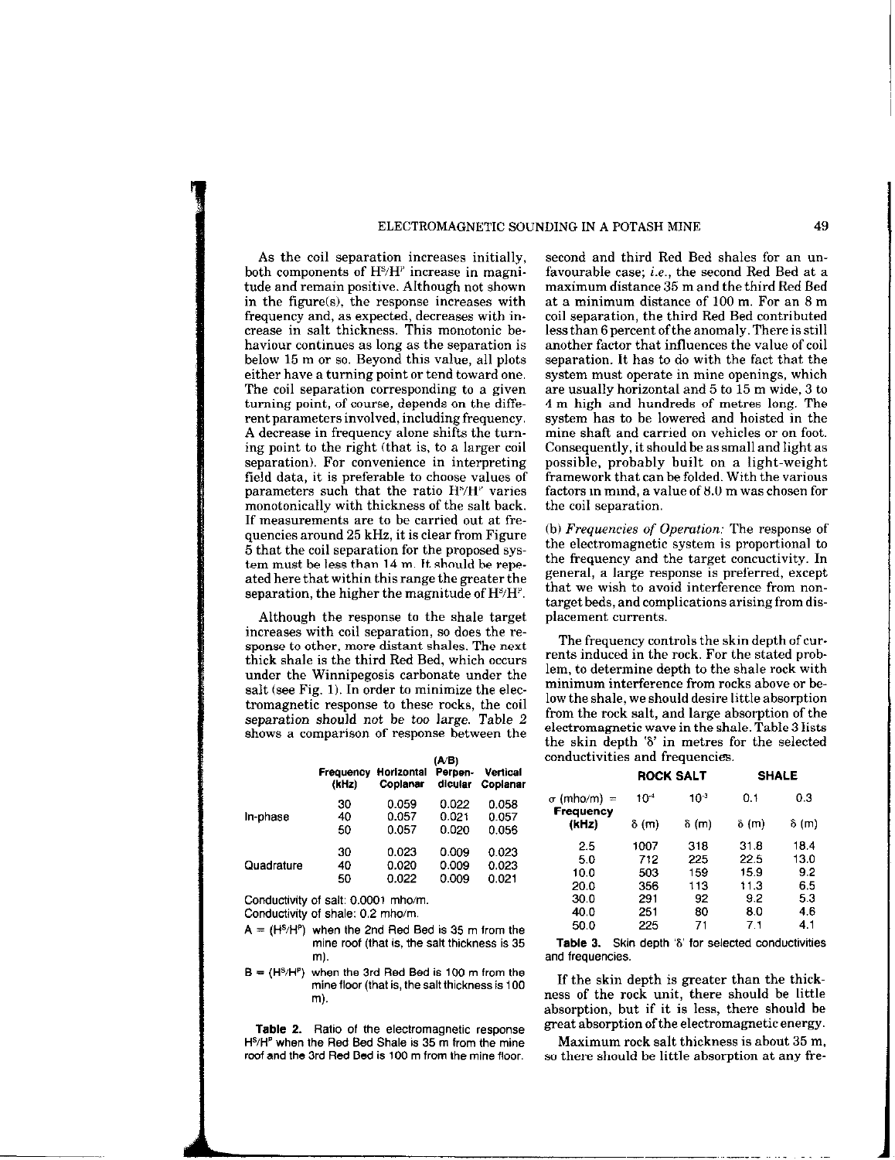# ELECTROMAGNETIC SOUNDING IN A POTASH MINE 49

As the coil separation increases initially, both components of  $H<sup>s</sup>/H<sup>r</sup>$  increase in magnitude and remain positive. Although not shown in the figure(s), the response increases with frequency and, as expected, decreases with increase in salt thickness. This monotonic behaviour continues as long as the separation is below 15 m or so. Beyond this value, all plots either have a turning point or tend toward one. The coil separation corresponding to a given turning point, of course, depends on the different parameters involved, including frequency. A decrease in frequency alone shifts the turning point to the right (that is, to a larger coil separation). For convenience in interpreting field data, it is preferable to choose values of parameters such that the ratio  $H<sup>s</sup>/H<sup>p</sup>$  varies monotonically with thickness of the salt back. If measurements are to be carried out at frequencies around 25 kHz, it is clear from Figure 5 that the coil separation for the proposed system must be less than 14 m. It should be repeated here that within this range the greater the separation, the higher the magnitude of  $H<sup>s</sup>/H<sup>p</sup>$ .

Although the response to the shale target increases with coil separation, so does the response to other, more distant shales. The next thick shale is the third Red Bed, which occurs under the Winnipegosis carbonate under the salt (see Fig. 1). In order to minimize the electromagnetic response to these rocks, the coil separation should not be too large. Table 2 shows a comparison of response between the

|            | Frequency<br>(kHz) | Horizontal<br>Coplanar | (AVB)<br>Perpen-<br>dicular | Vertical<br>Coplanar |
|------------|--------------------|------------------------|-----------------------------|----------------------|
| In-phase   | 30                 | 0.059                  | 0.022                       | 0.058                |
|            | 40                 | 0.057                  | 0.021                       | 0.057                |
|            | 50                 | 0.057                  | 0.020                       | 0.056                |
| Quadrature | 30                 | 0.023                  | 0.009                       | 0.023                |
|            | 40                 | 0.020                  | 0.009                       | 0.023                |
|            | 50                 | 0.022                  | 0.009                       | 0.021                |

Conductivity of salt: 0.0001 mho/m. Conductivity of shale: 0.2 mho/m.

 $A = (H<sup>S</sup>/H<sup>P</sup>)$  when the 2nd Red Bed is 35 m from the mine roof (that is, the salt thickness is 35 m).

 $B = (H<sup>S</sup>/H<sup>p</sup>)$  when the 3rd Red Bed is 100 m from the mine floor (that is, the salt thickness is 100 m).

Table 2. Ratio of the electromagnetic response H<sup>S</sup>/H<sup>P</sup> when the Red Bed Shale is 35 m from the mine roof and the 3rd Red Bed is 100 m from the mine floor.

second and third Red Bed shales for an unfavourable case; i.e., the second Red Bed at a maximum distance 35 m and the third Red Bed at a minimum distance of 100 m. For an 8 m coil separation, the third Red Bed contributed less than 6 percent of the anomaly. There is still another factor that influences the value of coil separation. It has to do with the fact that the system must operate in mine openings, which are usually horizontal and 5 to 15 m wide, 3 to 4m high and hundreds of metres long. The system has to be lowered and hoisted in the mine shaft and carried on vehicles or on foot. Consequently, it should be as small and light as possible, probably built on a light-weight framework that can be folded. With the various factors in mind, a value of 6.0 m was chosen for the coil separation.

(b) Frequencies of Operation: The response of the electromagnetic system is proportional to the frequency and the target concuctivity. In general, a large response is preferred, except that we wish to avoid interference from nontarget beds, and complications arising from displacement currents.

The frequency controls the skin depth of currents induced in the rock. For the stated problem, to determine depth to the shale rock with minimum interference from rocks above or below the shale, we should desire little absorption from the rock salt, and large absorption of the electromagnetic wave in the shale. Table 3 lists the skin depth '6' in metres for the selected conductivities and frequencies.

|           |                 | <b>SHALE</b>     |              |  |
|-----------|-----------------|------------------|--------------|--|
| $10^{-4}$ | 10 <sup>3</sup> | 0.1              | 0.3          |  |
| δ (m)     | ծ (m)           | δ (m)            | $\delta$ (m) |  |
| 1007      | 318             | 31.8             | 18.4         |  |
| 712       | 225             | 22.5             | 13.0         |  |
| 503       | 159             | 15.9             | 9.2          |  |
| 356       | 113             | 11.3             | 6.5          |  |
| 291       | 92              | 9.2              | 5.3          |  |
| 251       | 80              | 8.0              | 4.6          |  |
| 225       | 71              | 7.1              | 4.1          |  |
|           |                 | <b>ROCK SALT</b> |              |  |

Table 3. Skin depth '8' for selected conductivities and frequencies.

If the skin depth is greater than the thickness of the rock unit, there should be little absorption, but if it is less, there should be great absorption of the electromagnetic energy.

Maximum rock salt thickness is about 35 m, so there should be little absorption at any fre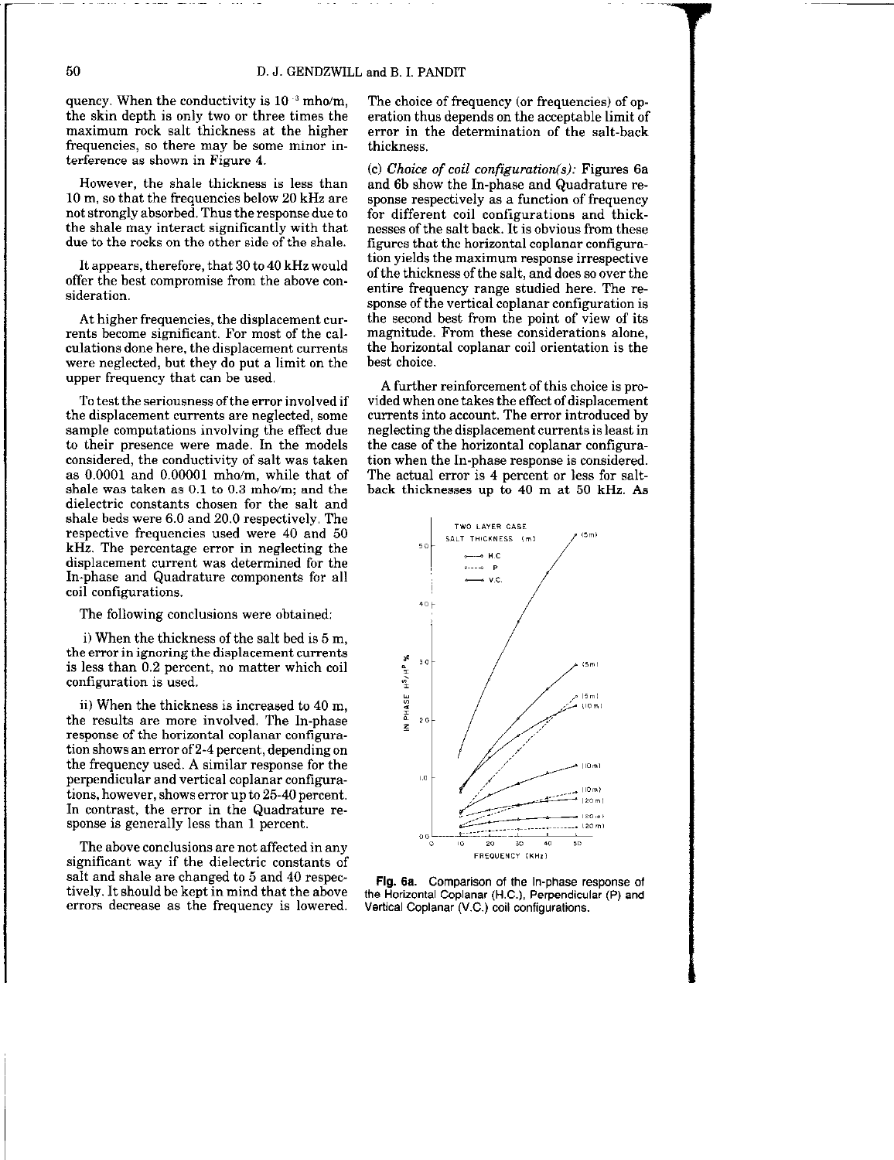quency. When the conductivity is  $10^{-3}$  mho/m. the skin depth is only two or three times the maximum rock salt thickness at the higher frequencies, so there may be some minor interference as shown in Figure 4.

However, the shale thickness is less than 10 m, so that the frequencies below 20 kHz are not strongly absorbed. Thus the response due to the shale may interact significantly with that due to the rocks on the other side of the shale.

It appears, therefore, that 30 to 40 kHz would offer the best compromise from the above consideration.

At higher frequencies, the displacement currents become significant. For most of the calculations done here, the displacement currents were neglected, but they do put a limit on the upper frequency that can be used.

To test the seriousness of the error involved if the displacement currents are neglected, some sample computations involving the effect due to their presence were made. In the models considered, the conductivity of salt was taken as 0.0001 and 0.00001 mho/m, while that of shale was taken as 0.1 to 0.3 mho/m; and the dielectric constants chosen for the salt and shale beds were 6.0 and 20.0 respectively, The respective frequencies used were 40 and 50 kHz. The percentage error in neglecting the displacement current was determined for the In-phase and Quadrature components for all coil configurations.

The following conclusions were obtained:

i) When the thickness of the salt bed is 5 m, the error in ignoring the displacement currents is less than 0.2 percent, no matter which coil configuration is used.

ii) When the thickness is increased to 40 m, the results are more involved. The In-phase response of the horizontal coplanar configuration shows an error of 2-4 percent, depending on the frequency used. A similar response for the perpendicular and vertical coplanar configurations, however, shows error up to 25.40 percent. In contrast, the error in the Quadrature response is generally less than 1 percent.

The above conclusions are not affected in any significant way if the dielectric constants of salt and shale are changed to 5 and 40 respectively. It should be kept in mind that the above errors decrease as the frequency is lowered. The choice of frequency (or frequencies) of operation thus depends on the acceptable limit of error in the determination of the salt-back thickness.

(c) Choice of coil configuration(s): Figures 6a and 6b show the In-phase and Quadrature response respectively as a function of frequency for different coil configurations and thicknesses of the salt back. It is obvious from these figures that the horizontal coplanar contiguration yields the maximum response irrespective of the thickness of the salt, and does so over the entire frequency range studied here. The response of the vertical coplanar configuration is the second best from the point of view of its magnitude. From these considerations alone, the horizontal coplanar coil orientation is the best choice.

A further reinforcement of this choice is provided when one takes the effect of displacement currents into account. The error introduced by neglecting the displacement currents is least in the case of the horizontal coplanar configuration when the In-phase response is considered. The actual error is 4 percent or less for saltback thicknesses up to 40 m at 50 kHz. As



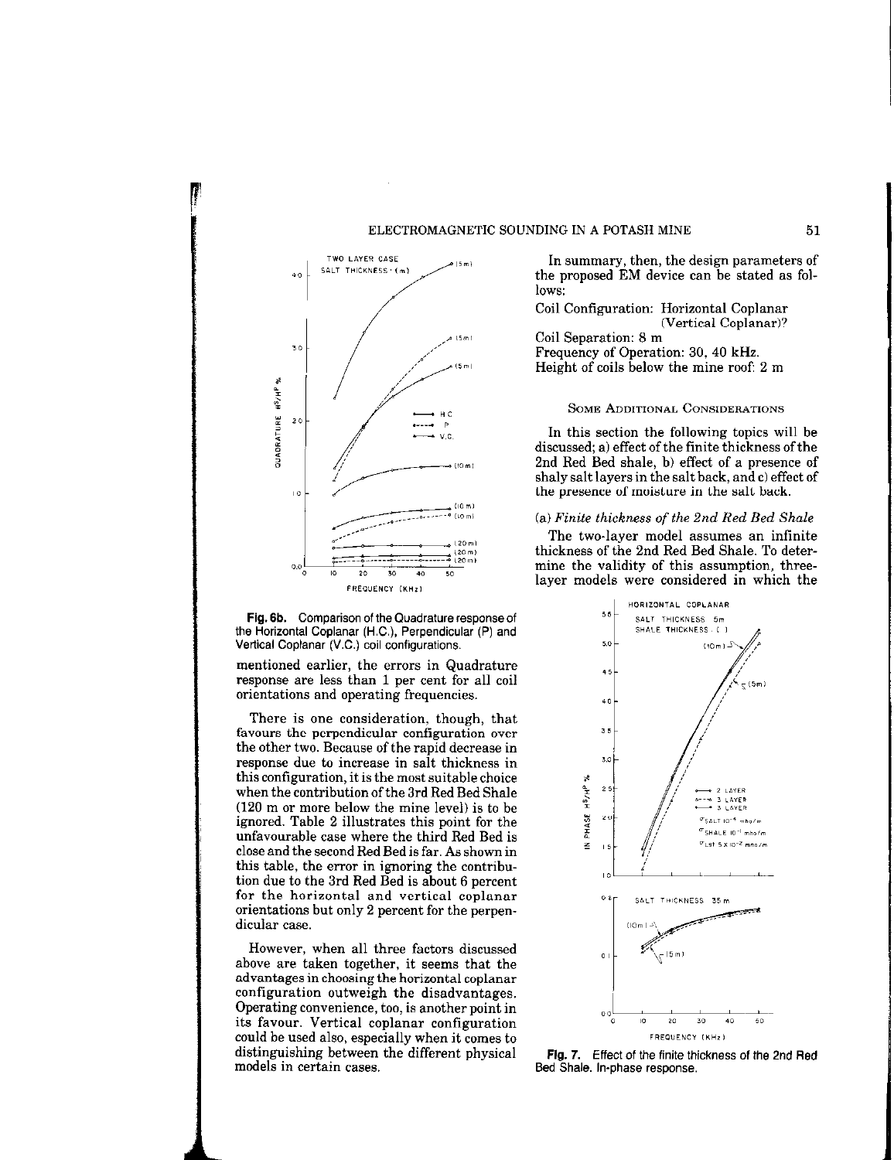

FREQUENCY (KHz) Fig. 6b. Comparison of the Quadrature response of

the Horizontal Coplanar (H.C.), Perpendicular (P) and Vertical Coplanar (V.C.) coil configurations.

mentioned earlier, the errors in Quadrature response are less than 1 per cent for all coil orientations and operating frequencies.

There is one consideration, though, that favours the perpendicular configuration over the other two. Because of the rapid decrease in response due to increase in salt thickness in this configuration, it is the most suitable choice when the contribution of the 3rd Red Bed Shale (120 m or more below the mine level) is to be ignored. Table 2 illustrates this point for the unfavourable case where the third Red Bed is close and the second Red Bed is far. As shown in this table, the error in ignoring the contribution due to the 3rd Red Bed is about 6 percent for the horizontal and vertical coplanar orientations but only 2 percent for the perpendicular case.

However, when all three factors discussed above are taken together, it seems that the advantages in choosing the horizontal coplanar configuration outweigh the disadvantages. Operating convenience, too, is another point in its favour. Vertical coplanar configuration could be used also, especially when it comes to distinguishing between the different physical models in certain cases.

TWO LAYER CASE IN  $\sum_{(5n)}$ <br>SALT THICKNESS  $(n)$   $(n)$   $(n)$  the proposed EM device son he stated as following the proposed EM device can be stated as follows:

> Coil Configuration: Horizontal Coplanar (Vertical Coplanar)?

Coil Separation: 8 m Frequency of Operation: 30, 40 kHz. Height of coils below the mine roof: 2 m

## SOME ADDITIONAL CONSIDERATIONS

In this section the following topics will be discussed; a) effect of the finite thickness of the 2nd Red Bed shale. b) effect of a presence of shaly salt layers in the salt back, and c) effect of the presence of moisture in the salt back.

## (a) Finite thickness of the 2nd Red Bed Shale

The two-layer model assumes an infinite thickness of the 2nd Red Bed Shale. To determine the validity of this assumption, threelayer models were considered in which the



Fig. 7. Effect of the finite thickness of the 2nd Red Bed Shale. In-phase response.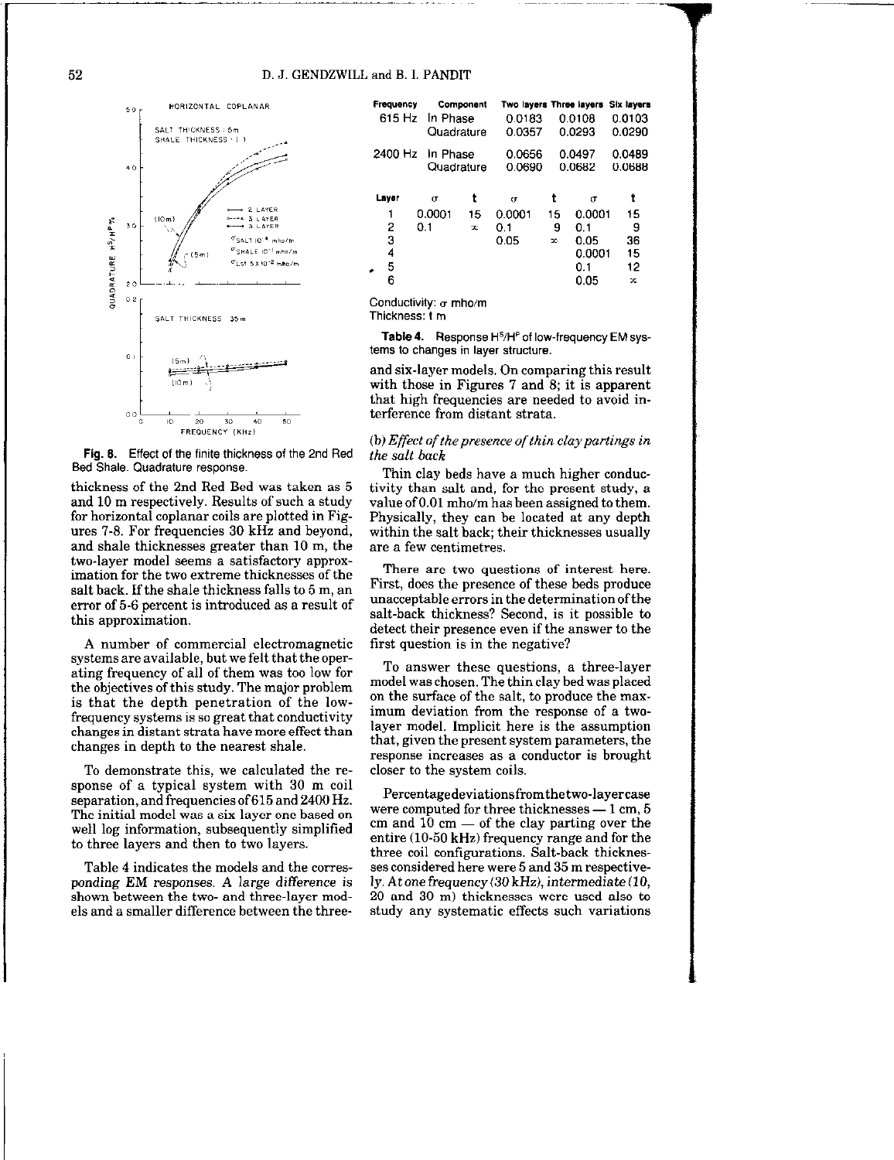

Bed Shale. Quadrature response.

thickness of the 2nd Red Bed was taken as 5 and 10 m respectively. Results of such a study for horizontal coplanar coils are plotted in Figures 7-S. For frequencies 30 kHz and beyond, and shale thicknesses greater than 10 m, the two-layer model seems a satisfactory approximation for the two extreme thicknesses of the salt back. If the shale thickness falls to 5 m, an error of 5-6 percent is introduced as a result of this approximation.

A number of commercial electromagnetic systems are available, but we felt that the operating frequency of all of them was too low for the objectives of this study. The major problem is that the depth penetration of the lowfrequency systems is so great that conductivity changes in distant strata have more effect than changes in depth to the nearest shale.

To demonstrate this, we calculated the response of a typical system with 30 m coil separation, and frequencies of 615 and 2400 Hz. The initial model was a six-layer one based on well log information, subsequently simplified to three layers and then to two layers.

Table 4 indicates the models and the corresponding EM responses. A large difference is shown between the two- and three-layer models and a smaller difference between the three-

|                                          | Frequency<br>Component<br>615 Hz<br>In Phase<br>Quadrature |                           | Two layers Three layers<br>0.0183<br>0.0357 |                            | 0.0108<br>0.0293         | <b>Six layers</b><br>0.0103<br>0.0290               |                                |
|------------------------------------------|------------------------------------------------------------|---------------------------|---------------------------------------------|----------------------------|--------------------------|-----------------------------------------------------|--------------------------------|
| 2400 Hz                                  |                                                            | In Phase<br>Quadrature    |                                             | 0.0656<br>0.0690           |                          | 0.0497<br>0.0682                                    | 0.0489<br>0.0688               |
| Laver<br>1<br>2<br>3<br>4<br>5<br>÷<br>6 |                                                            | $\sigma$<br>0.0001<br>0.1 | t<br>15<br>x                                | σ<br>0.0001<br>0.1<br>0.05 | t<br>15<br>9<br>$\infty$ | σ<br>0.0001<br>0.1<br>0.05<br>0.0001<br>0.1<br>0.05 | 15<br>9<br>36<br>15<br>12<br>œ |

Conductivity:  $\sigma$  mho/m

Thickness: f m

Table 4. Response H<sup>s</sup>/H<sup>P</sup> of low-frequency EM systems to changes in layer structure.

and six-layer models. On comparing this result with those in Figures  $7$  and  $8$ ; it is apparent that high frequencies are needed to avoid interference from distant strata.

FREQUENCY (KHz)<br>
(b) Effect of the presence of thin clay partings in<br>  $\frac{1}{2}$  (b) Effect of the presence of thin clay partings in the salt back

> Thin clay beds have a much higher conductivity than salt and, for the present study, a value of 0.01 mho/m has been assigned to them. Physically, they can be located at any depth within the salt back; their thicknesses usually are a few centimetres.

> There are two questions of interest here. First, does the presence of these beds produce unacceptable errors in the determination of the salt-back thickness? Second, is it possible to detect their presence even if the answer to the first question is in the negative?

> To answer these questions, a three-layer model was chosen. The thin clay bed was placed on the surface of the salt, to produce the maximum deviation from the response of a twolayer model. Implicit here is the assumption that, given the present system parameters, the response increases as a conductor is brought closer to the system coils.

> Pereentagedeviationsfromthetwo-layercase were computed for three thicknesses  $-1$  cm, 5 cm and  $10 \text{ cm }$  - of the clay parting over the entire (10-50 kHz) frequency range and for the three coil configurations. Salt-back thicknesses considered here were 5 and 35 m respectively. At one frequency  $(30 \text{ kHz})$ , intermediate  $(10, 10)$ 20 and 30 m) thicknesses were used also to study any systematic effects such variations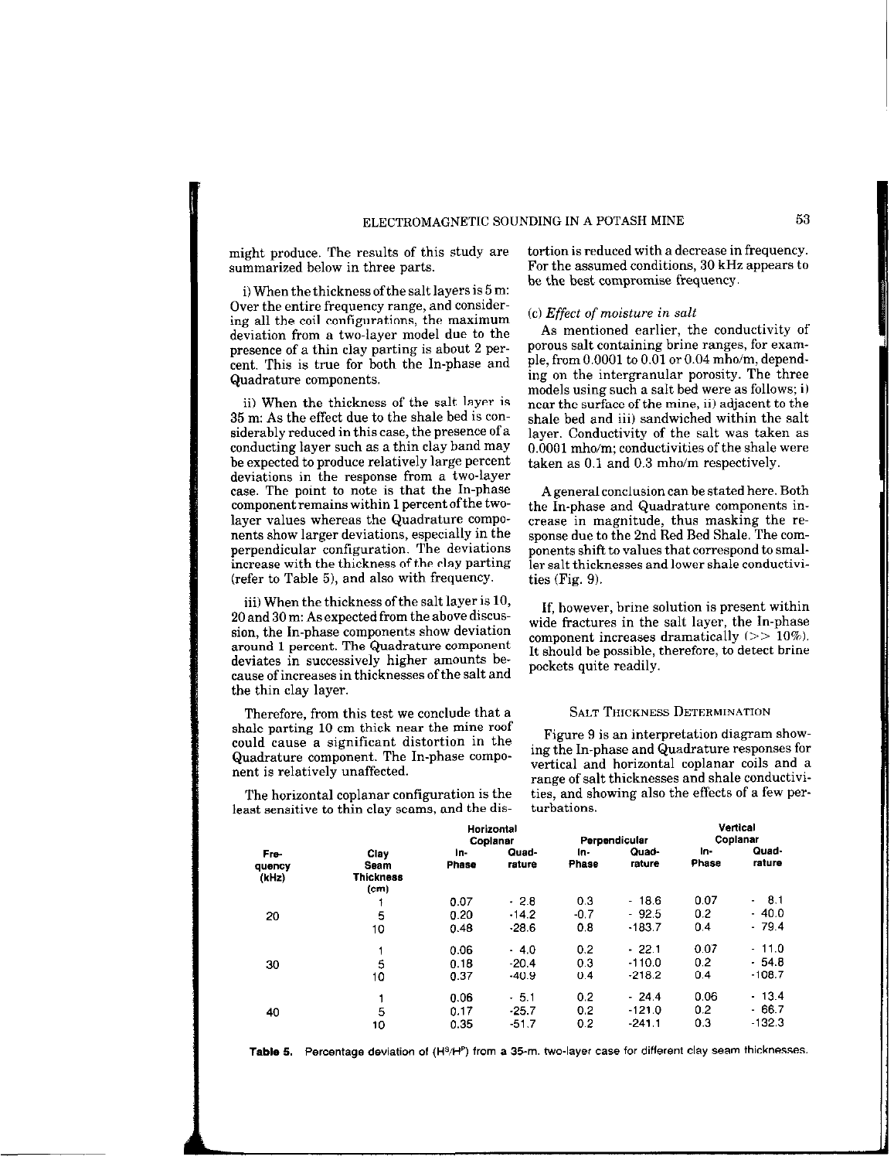might produce. The results of this study are summarized below in three parts.

i) When the thickness of the salt layers is 5 m: Over the entire frequency range, and considering all the coil configurations, the maximum deviation from a two-layer model due to the presence of a thin clay parting is about 2 percent. This is true for both the In-phase and Quadrature components.

ii) When the thickness of the salt layer is 35 m: As the effect due to the shale bed is considerably reduced in this case, the presence of a conducting layer such as a thin clay band may be expected to produce relatively large percent deviations in the response from a two-layer case. The point to note is that the In-phase component remains within 1 percent of the twolayer values whereas the Quadrature components show larger deviations, especially in the perpendicular configuration. The deviations increase with the thickness of the clay parting (refer to Table 5), and also with frequency.

iii) When the thickness of the salt layer is 10, 20 and 30 m: As expected from the above discussion, the In-phase components show deviation around 1 percent. The Quadrature component deviates in successively higher amounts because of increases in thicknesses of the salt and

Therefore, from this test we conclude that a SALT THICKNESS DETERMINATION shale parting 10 cm thick near the mine roof shall cause a significant distortion in the Figure 9 is an interpretation diagram show-<br>could cause a significant distortion in the ing the In-phase and Quadrature responses for

least sensitive to thin clay seams, and the dis-

tortion is reduced with a decrease in frequency. For the assumed conditions, 30 kHz appears to be the best compromise frequency.

# (cl Effect of moisture in salt

As mentioned earlier, the conductivity of porous salt containing brine ranges, for example, from 0.0001 to 0.01 or 0.04 mho/m, depending on the intergranular porosity. The three models using such a salt bed were as follows; i) near the surface of the mine, ii) adjacent to the shale bed and iii) sandwiched within the salt layer. Conductivity of the salt was taken as 0.0001 mho/m; conductivities of the shale were taken as 0.1 and 0.3 mho/m respectively.

A general conclusion can be stated here. Both the In-phase and Quadrature components increase in magnitude, thus masking the response due to the 2nd Red Bed Shale. The components shift to values that correspond to smaller salt thicknesses and lower shale conductivities (Fig. 9).

If, however, brine solution is present within wide fractures in the salt layer, the In-phase component increases dramatically  $(>> 10\%)$ . It should be possible, therefore, to detect brine pockets quite readily.

Quadrature component. The In-phase compo- ing the In-phase and Quadrature responses for nent is relatively unaffected. vertical and horizontal coplanar coils and a ranee of salt thicknesses and shale conductivi-The horizontal coplanar configuration is the ties, and showing also the effects of a few per-<br>ast sensitive to thin clay scams, and the dis-<br>

|                         |                                                       | <b>Horizontal</b><br>Coplanar |                              | Perpendicular        |                                 | Vertical<br>Coplanar            |                                              |
|-------------------------|-------------------------------------------------------|-------------------------------|------------------------------|----------------------|---------------------------------|---------------------------------|----------------------------------------------|
| Fre-<br>quency<br>(kHz) | Clav<br>Seam<br><b>Thickness</b><br>(c <sub>m</sub> ) | ۱n-<br><b>Phase</b>           | Quad-<br>rature              | In-<br>Phase         | Quad-<br>rature                 | ln-<br>Phase                    | Quad-<br>rature                              |
| 20                      | 5<br>10                                               | 0.07<br>0.20<br>0.48          | $-2.8$<br>$-14.2$<br>$-28.6$ | 0.3<br>$-0.7$<br>0.8 | $-18.6$<br>$-92.5$<br>$-183.7$  | 0.07<br>0.2 <sub>2</sub><br>0.4 | - 8.1<br>$\blacksquare$<br>- 40.0<br>$-79.4$ |
| 30                      | 5<br>10                                               | 0.06<br>0.18<br>0.37          | .4.0<br>$-20.4$<br>$-40.9$   | 0.2<br>0.3<br>0.4    | $-22.1$<br>$-110.0$<br>$-218.2$ | 0.07<br>0.2<br>0.4              | $-11.0$<br>$-54.8$<br>$-108.7$               |
| 40                      | 5<br>10                                               | 0.06<br>0.17<br>0.35          | $-5.1$<br>$-25.7$<br>$-51.7$ | 0.2<br>0.2<br>0.2    | $-24.4$<br>$-121.0$<br>$-241.1$ | 0.06<br>0.2<br>0.3              | - 13.4<br>$-66.7$<br>$-132.3$                |

Table 5. Percentage deviation of (H<sup>§</sup>/H<sup>p</sup>) from a 35-m. two-layer case for different clay seam thicknesses.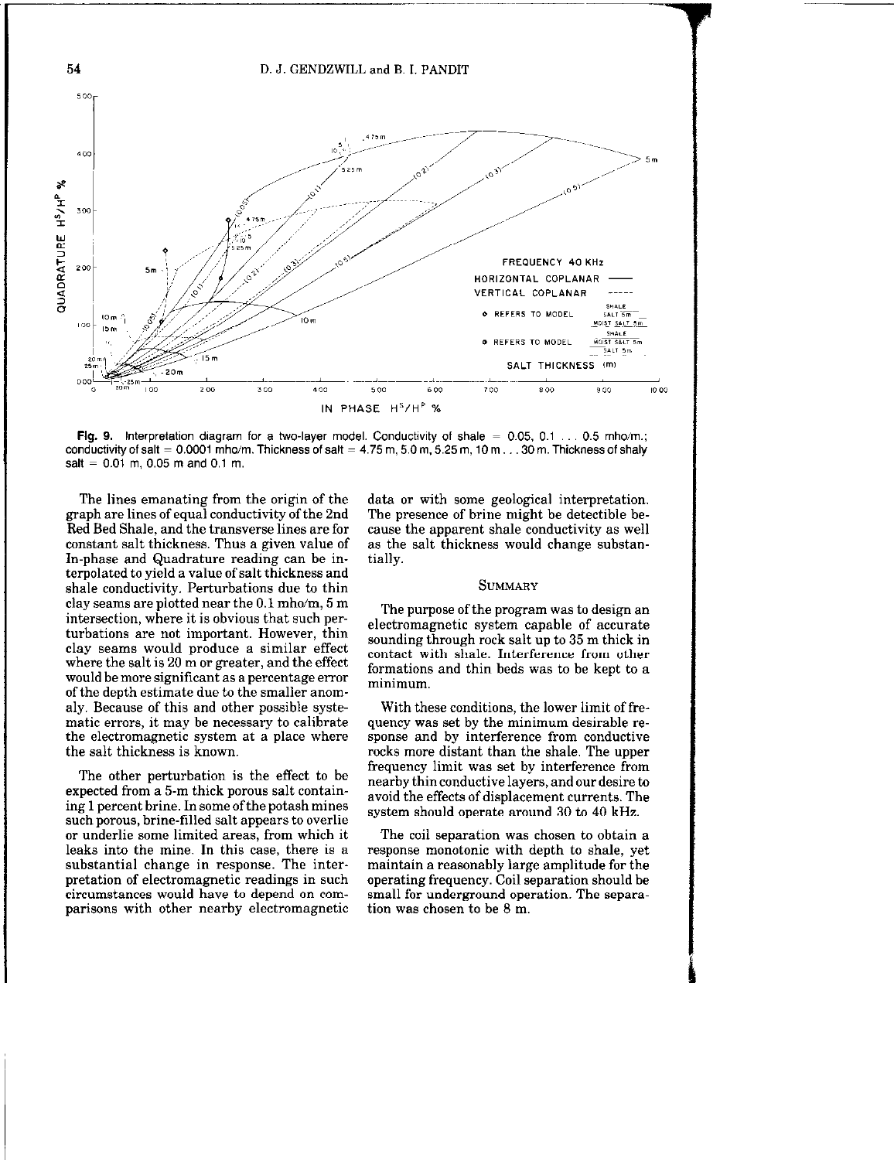

Fig. 9. Interpretation diagram for a two-layer model. Conductivity of shale =  $0.05, 0.1 \ldots 0.5$  mho/m.; conductivity of salt =  $0.0001$  mho/m. Thickness of salt =  $4.75$  m,  $5.0$  m,  $5.25$  m,  $10$  m  $\dots$  30 m. Thickness of shaly salt =  $0.01$  m, 0.05 m and 0.1 m.

The lines emanating from the origin of the graph are lines of equal conductivity of the 2nd Red Bed Shale, and the transverse lines are for constant salt thickness. Thus a given value of In-phase and Quadrature reading can be interpolated to yield a value of salt thickness and shale conductivity. Perturbations due to thin clay seams are plotted near the 0.1 mho/m, 5 m intersection, where it is obvious that such perturbations are not important. However, thin clay seams would produce a similar effect where the salt is 20 m or greater, and the effect would be more significant as a percentage error of the depth estimate due to the smaller anomaly. Because of this and other possible systematic errors, it may be necessary to calibrate the electromagnetic system at a place where the salt thickness is known.

The other perturbation is the effect to be expected from a 5-m thick porous salt containing 1 percent brine. In some of the potash mines such porous, brine-tilled salt appears to overlie or underlie some limited areas, from which it leaks into the mine. In this case, there is a substantial change in response. The interpretation of electromagnetic readings in such circumstances would have to depend on comparisons with other nearby electromagnetic

data or with some geological interpretation. The presence of brine might be detectible because the apparent shale conductivity as well as the salt thickness would change substantially.

#### **SUMMARY**

The purpose of the program was to design an electromagnetic system capable of accurate sounding through rock salt up to 35 m thick in contact with shale. Interference from other formations and thin beds was to be kept to a minimum.

With these conditions, the lower limit of frequency was set by the minimum desirable response and by interference from conductive rocks more distant than the shale. The upper frequency limit was set by interference from nearby thin conductive layers, and our desire to avoid the effects of displacement currents. The system should operate around 30 to 40 kHz.

The coil separation was chosen to obtain a response monotonic with depth to shale, yet maintain a reasonably large amplitude for the operating frequency. Coil separation should be small for underground operation. The separation was chosen to be 8 m.